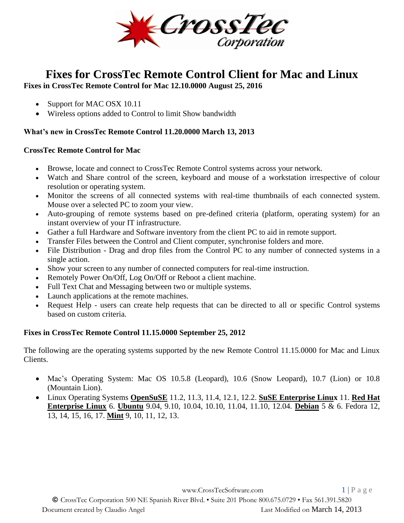

# **Fixes for CrossTec Remote Control Client for Mac and Linux**

**Fixes in CrossTec Remote Control for Mac 12.10.0000 August 25, 2016**

- Support for MAC OSX 10.11
- Wireless options added to Control to limit Show bandwidth

# **What's new in CrossTec Remote Control 11.20.0000 March 13, 2013**

### **CrossTec Remote Control for Mac**

- Browse, locate and connect to CrossTec Remote Control systems across your network.
- Watch and Share control of the screen, keyboard and mouse of a workstation irrespective of colour resolution or operating system.
- Monitor the screens of all connected systems with real-time thumbnails of each connected system. Mouse over a selected PC to zoom your view.
- Auto-grouping of remote systems based on pre-defined criteria (platform, operating system) for an instant overview of your IT infrastructure.
- Gather a full Hardware and Software inventory from the client PC to aid in remote support.
- Transfer Files between the Control and Client computer, synchronise folders and more.
- File Distribution Drag and drop files from the Control PC to any number of connected systems in a single action.
- Show your screen to any number of connected computers for real-time instruction.
- Remotely Power On/Off, Log On/Off or Reboot a client machine.
- Full Text Chat and Messaging between two or multiple systems.
- Launch applications at the remote machines.
- Request Help users can create help requests that can be directed to all or specific Control systems based on custom criteria.

# **Fixes in CrossTec Remote Control 11.15.0000 September 25, 2012**

The following are the operating systems supported by the new Remote Control 11.15.0000 for Mac and Linux Clients.

- Mac's Operating System: Mac OS 10.5.8 (Leopard), 10.6 (Snow Leopard), 10.7 (Lion) or 10.8 (Mountain Lion).
- Linux Operating Systems **OpenSuSE** 11.2, 11.3, 11.4, 12.1, 12.2. **SuSE Enterprise Linux** 11. **Red Hat Enterprise Linux** 6. **Ubuntu** 9.04, 9.10, 10.04, 10.10, 11.04, 11.10, 12.04. **Debian** 5 & 6. Fedora 12, 13, 14, 15, 16, 17. **Mint** 9, 10, 11, 12, 13.